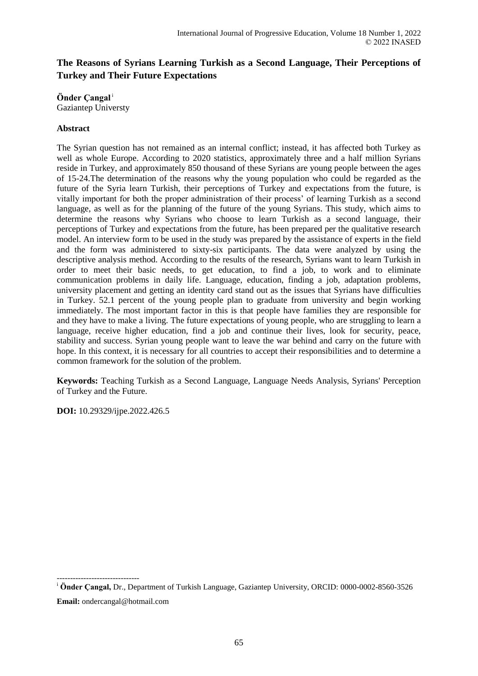# **The Reasons of Syrians Learning Turkish as a Second Language, Their Perceptions of Turkey and Their Future Expectations**

**Önder Çangal**<sup>i</sup> Gaziantep Universty

# **Abstract**

The Syrian question has not remained as an internal conflict; instead, it has affected both Turkey as well as whole Europe. According to 2020 statistics, approximately three and a half million Syrians reside in Turkey, and approximately 850 thousand of these Syrians are young people between the ages of 15-24.The determination of the reasons why the young population who could be regarded as the future of the Syria learn Turkish, their perceptions of Turkey and expectations from the future, is vitally important for both the proper administration of their process' of learning Turkish as a second language, as well as for the planning of the future of the young Syrians. This study, which aims to determine the reasons why Syrians who choose to learn Turkish as a second language, their perceptions of Turkey and expectations from the future, has been prepared per the qualitative research model. An interview form to be used in the study was prepared by the assistance of experts in the field and the form was administered to sixty-six participants. The data were analyzed by using the descriptive analysis method. According to the results of the research, Syrians want to learn Turkish in order to meet their basic needs, to get education, to find a job, to work and to eliminate communication problems in daily life. Language, education, finding a job, adaptation problems, university placement and getting an identity card stand out as the issues that Syrians have difficulties in Turkey. 52.1 percent of the young people plan to graduate from university and begin working immediately. The most important factor in this is that people have families they are responsible for and they have to make a living. The future expectations of young people, who are struggling to learn a language, receive higher education, find a job and continue their lives, look for security, peace, stability and success. Syrian young people want to leave the war behind and carry on the future with hope. In this context, it is necessary for all countries to accept their responsibilities and to determine a common framework for the solution of the problem.

**Keywords:** Teaching Turkish as a Second Language, Language Needs Analysis, Syrians' Perception of Turkey and the Future.

**DOI:** 10.29329/ijpe.2022.426.5

-------------------------------

<sup>i</sup> **Önder Çangal,** Dr., Department of Turkish Language, Gaziantep University, ORCID: 0000-0002-8560-3526 **Email:** ondercangal@hotmail.com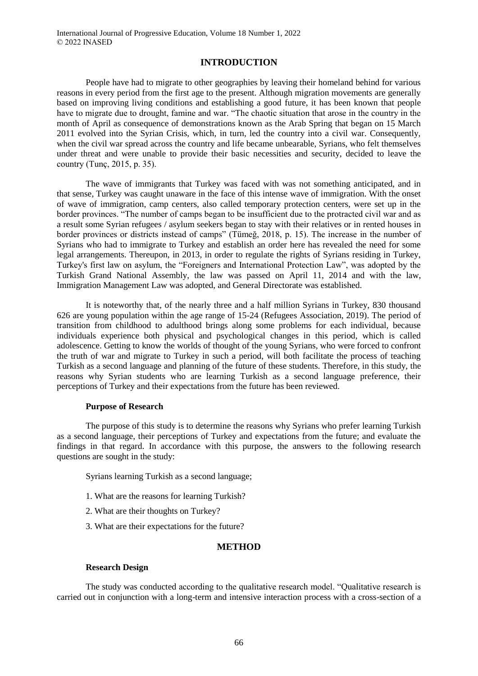### **INTRODUCTION**

People have had to migrate to other geographies by leaving their homeland behind for various reasons in every period from the first age to the present. Although migration movements are generally based on improving living conditions and establishing a good future, it has been known that people have to migrate due to drought, famine and war. "The chaotic situation that arose in the country in the month of April as consequence of demonstrations known as the Arab Spring that began on 15 March 2011 evolved into the Syrian Crisis, which, in turn, led the country into a civil war. Consequently, when the civil war spread across the country and life became unbearable, Syrians, who felt themselves under threat and were unable to provide their basic necessities and security, decided to leave the country (Tunç, 2015, p. 35).

The wave of immigrants that Turkey was faced with was not something anticipated, and in that sense, Turkey was caught unaware in the face of this intense wave of immigration. With the onset of wave of immigration, camp centers, also called temporary protection centers, were set up in the border provinces. "The number of camps began to be insufficient due to the protracted civil war and as a result some Syrian refugees / asylum seekers began to stay with their relatives or in rented houses in border provinces or districts instead of camps" (Tümeğ, 2018, p. 15). The increase in the number of Syrians who had to immigrate to Turkey and establish an order here has revealed the need for some legal arrangements. Thereupon, in 2013, in order to regulate the rights of Syrians residing in Turkey, Turkey's first law on asylum, the "Foreigners and International Protection Law", was adopted by the Turkish Grand National Assembly, the law was passed on April 11, 2014 and with the law, Immigration Management Law was adopted, and General Directorate was established.

It is noteworthy that, of the nearly three and a half million Syrians in Turkey, 830 thousand 626 are young population within the age range of 15-24 (Refugees Association, 2019). The period of transition from childhood to adulthood brings along some problems for each individual, because individuals experience both physical and psychological changes in this period, which is called adolescence. Getting to know the worlds of thought of the young Syrians, who were forced to confront the truth of war and migrate to Turkey in such a period, will both facilitate the process of teaching Turkish as a second language and planning of the future of these students. Therefore, in this study, the reasons why Syrian students who are learning Turkish as a second language preference, their perceptions of Turkey and their expectations from the future has been reviewed.

#### **Purpose of Research**

The purpose of this study is to determine the reasons why Syrians who prefer learning Turkish as a second language, their perceptions of Turkey and expectations from the future; and evaluate the findings in that regard. In accordance with this purpose, the answers to the following research questions are sought in the study:

Syrians learning Turkish as a second language;

- 1. What are the reasons for learning Turkish?
- 2. What are their thoughts on Turkey?
- 3. What are their expectations for the future?

#### **METHOD**

#### **Research Design**

The study was conducted according to the qualitative research model. "Qualitative research is carried out in conjunction with a long-term and intensive interaction process with a cross-section of a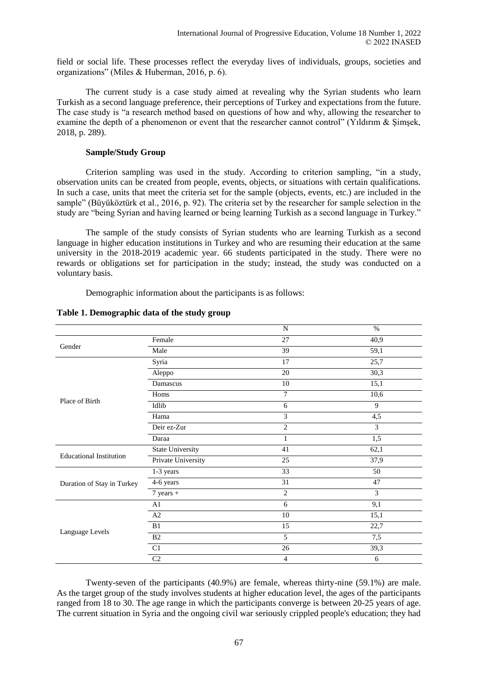field or social life. These processes reflect the everyday lives of individuals, groups, societies and organizations" (Miles & Huberman, 2016, p. 6).

The current study is a case study aimed at revealing why the Syrian students who learn Turkish as a second language preference, their perceptions of Turkey and expectations from the future. The case study is "a research method based on questions of how and why, allowing the researcher to examine the depth of a phenomenon or event that the researcher cannot control" (Yıldırım & Simsek, 2018, p. 289).

### **Sample/Study Group**

Criterion sampling was used in the study. According to criterion sampling, "in a study, observation units can be created from people, events, objects, or situations with certain qualifications. In such a case, units that meet the criteria set for the sample (objects, events, etc.) are included in the sample" (Büyüköztürk et al., 2016, p. 92). The criteria set by the researcher for sample selection in the study are "being Syrian and having learned or being learning Turkish as a second language in Turkey."

The sample of the study consists of Syrian students who are learning Turkish as a second language in higher education institutions in Turkey and who are resuming their education at the same university in the 2018-2019 academic year. 66 students participated in the study. There were no rewards or obligations set for participation in the study; instead, the study was conducted on a voluntary basis.

Demographic information about the participants is as follows:

|                                |                         | N               | $\%$           |
|--------------------------------|-------------------------|-----------------|----------------|
|                                | Female                  | 27              | 40,9           |
| Gender                         | Male                    | $\overline{39}$ | 59,1           |
|                                | Syria                   | 17              | 25,7           |
|                                | Aleppo                  | 20              | 30,3           |
|                                | Damascus                | 10              | 15,1           |
|                                | Homs                    | 7               | 10,6           |
| Place of Birth                 | Idlib                   | 6               | 9              |
|                                | Hama                    | 3               | 4,5            |
|                                | Deir ez-Zur             | $\overline{2}$  | 3              |
|                                | Daraa                   | 1               | 1,5            |
| <b>Educational Institution</b> | <b>State University</b> | 41              | 62,1           |
|                                | Private University      | 25              | 37,9           |
|                                | 1-3 years               | 33              | 50             |
| Duration of Stay in Turkey     | 4-6 years               | 31              | 47             |
|                                | $7$ years +             | $\overline{c}$  | $\overline{3}$ |
| Language Levels                | A1                      | 6               | 9,1            |
|                                | A2                      | 10              | 15,1           |
|                                | B1                      | 15              | 22,7           |
|                                | B <sub>2</sub>          | 5               | 7,5            |
|                                | C1                      | 26              | 39,3           |
|                                | C <sub>2</sub>          | $\overline{4}$  | 6              |

# **Table 1. Demographic data of the study group**

Twenty-seven of the participants (40.9%) are female, whereas thirty-nine (59.1%) are male. As the target group of the study involves students at higher education level, the ages of the participants ranged from 18 to 30. The age range in which the participants converge is between 20-25 years of age. The current situation in Syria and the ongoing civil war seriously crippled people's education; they had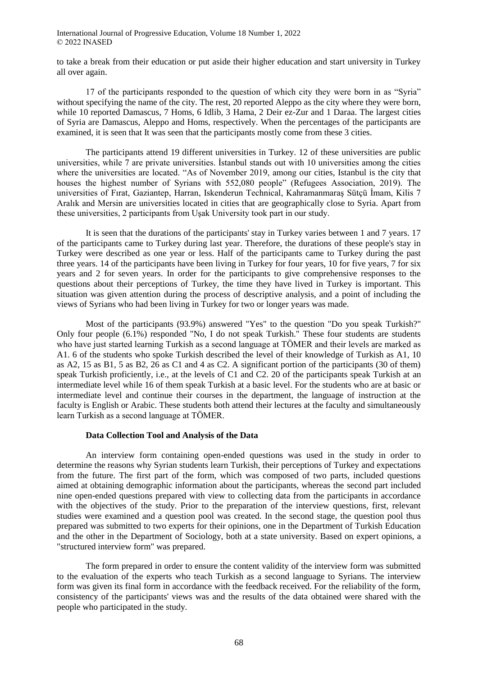to take a break from their education or put aside their higher education and start university in Turkey all over again.

17 of the participants responded to the question of which city they were born in as "Syria" without specifying the name of the city. The rest, 20 reported Aleppo as the city where they were born, while 10 reported Damascus, 7 Homs, 6 Idlib, 3 Hama, 2 Deir ez-Zur and 1 Daraa. The largest cities of Syria are Damascus, Aleppo and Homs, respectively. When the percentages of the participants are examined, it is seen that It was seen that the participants mostly come from these 3 cities.

The participants attend 19 different universities in Turkey. 12 of these universities are public universities, while 7 are private universities. İstanbul stands out with 10 universities among the cities where the universities are located. "As of November 2019, among our cities, Istanbul is the city that houses the highest number of Syrians with 552,080 people" (Refugees Association, 2019). The universities of Fırat, Gaziantep, Harran, Iskenderun Technical, Kahramanmaraş Sütçü İmam, Kilis 7 Aralık and Mersin are universities located in cities that are geographically close to Syria. Apart from these universities, 2 participants from Uşak University took part in our study.

It is seen that the durations of the participants' stay in Turkey varies between 1 and 7 years. 17 of the participants came to Turkey during last year. Therefore, the durations of these people's stay in Turkey were described as one year or less. Half of the participants came to Turkey during the past three years. 14 of the participants have been living in Turkey for four years, 10 for five years, 7 for six years and 2 for seven years. In order for the participants to give comprehensive responses to the questions about their perceptions of Turkey, the time they have lived in Turkey is important. This situation was given attention during the process of descriptive analysis, and a point of including the views of Syrians who had been living in Turkey for two or longer years was made.

Most of the participants (93.9%) answered "Yes" to the question "Do you speak Turkish?" Only four people (6.1%) responded "No, I do not speak Turkish." These four students are students who have just started learning Turkish as a second language at TÖMER and their levels are marked as A1. 6 of the students who spoke Turkish described the level of their knowledge of Turkish as A1, 10 as A2, 15 as B1, 5 as B2, 26 as C1 and 4 as C2. A significant portion of the participants (30 of them) speak Turkish proficiently, i.e., at the levels of C1 and C2. 20 of the participants speak Turkish at an intermediate level while 16 of them speak Turkish at a basic level. For the students who are at basic or intermediate level and continue their courses in the department, the language of instruction at the faculty is English or Arabic. These students both attend their lectures at the faculty and simultaneously learn Turkish as a second language at TÖMER.

#### **Data Collection Tool and Analysis of the Data**

An interview form containing open-ended questions was used in the study in order to determine the reasons why Syrian students learn Turkish, their perceptions of Turkey and expectations from the future. The first part of the form, which was composed of two parts, included questions aimed at obtaining demographic information about the participants, whereas the second part included nine open-ended questions prepared with view to collecting data from the participants in accordance with the objectives of the study. Prior to the preparation of the interview questions, first, relevant studies were examined and a question pool was created. In the second stage, the question pool thus prepared was submitted to two experts for their opinions, one in the Department of Turkish Education and the other in the Department of Sociology, both at a state university. Based on expert opinions, a "structured interview form" was prepared.

The form prepared in order to ensure the content validity of the interview form was submitted to the evaluation of the experts who teach Turkish as a second language to Syrians. The interview form was given its final form in accordance with the feedback received. For the reliability of the form, consistency of the participants' views was and the results of the data obtained were shared with the people who participated in the study.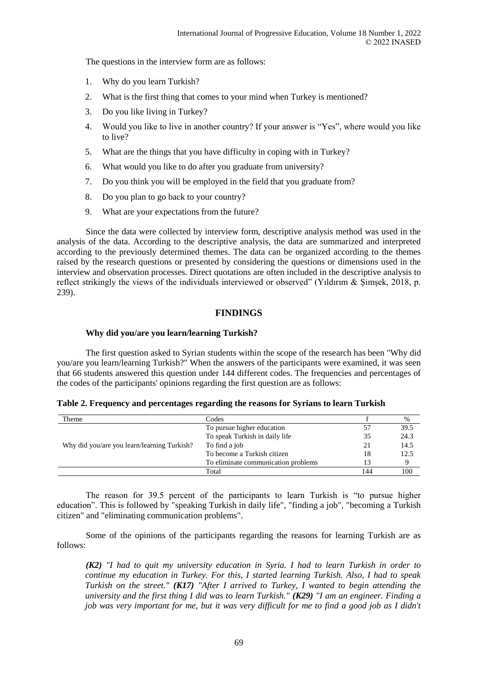The questions in the interview form are as follows:

- 1. Why do you learn Turkish?
- 2. What is the first thing that comes to your mind when Turkey is mentioned?
- 3. Do you like living in Turkey?
- 4. Would you like to live in another country? If your answer is "Yes", where would you like to live?
- 5. What are the things that you have difficulty in coping with in Turkey?
- 6. What would you like to do after you graduate from university?
- 7. Do you think you will be employed in the field that you graduate from?
- 8. Do you plan to go back to your country?
- 9. What are your expectations from the future?

Since the data were collected by interview form, descriptive analysis method was used in the analysis of the data. According to the descriptive analysis, the data are summarized and interpreted according to the previously determined themes. The data can be organized according to the themes raised by the research questions or presented by considering the questions or dimensions used in the interview and observation processes. Direct quotations are often included in the descriptive analysis to reflect strikingly the views of the individuals interviewed or observed" (Yıldırım & Şimşek, 2018, p. 239).

# **FINDINGS**

# **Why did you/are you learn/learning Turkish?**

The first question asked to Syrian students within the scope of the research has been "Why did you/are you learn/learning Turkish?" When the answers of the participants were examined, it was seen that 66 students answered this question under 144 different codes. The frequencies and percentages of the codes of the participants' opinions regarding the first question are as follows:

| Table 2. Frequency and percentages regarding the reasons for Syrians to learn Turkish |  |  |  |
|---------------------------------------------------------------------------------------|--|--|--|
|---------------------------------------------------------------------------------------|--|--|--|

| Theme                                       | Codes                               |     | $\%$ |
|---------------------------------------------|-------------------------------------|-----|------|
|                                             | To pursue higher education          | 57  | 39.5 |
|                                             | To speak Turkish in daily life      | 35  | 24.3 |
| Why did you/are you learn/learning Turkish? | To find a job                       | 21  | 14.5 |
|                                             | To become a Turkish citizen         | 18  | 12.5 |
|                                             | To eliminate communication problems | 13  |      |
|                                             | Total                               | 144 | 100  |

The reason for 39.5 percent of the participants to learn Turkish is "to pursue higher education". This is followed by "speaking Turkish in daily life", "finding a job", "becoming a Turkish citizen" and "eliminating communication problems".

Some of the opinions of the participants regarding the reasons for learning Turkish are as follows:

*(K2) "I had to quit my university education in Syria. I had to learn Turkish in order to continue my education in Turkey. For this, I started learning Turkish. Also, I had to speak Turkish on the street." (K17) "After I arrived to Turkey, I wanted to begin attending the university and the first thing I did was to learn Turkish." (K29) "I am an engineer. Finding a job was very important for me, but it was very difficult for me to find a good job as I didn't*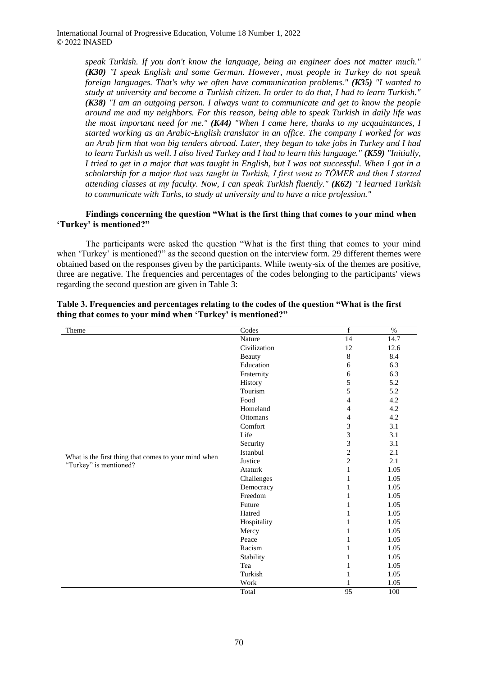> *speak Turkish. If you don't know the language, being an engineer does not matter much." (K30) "I speak English and some German. However, most people in Turkey do not speak foreign languages. That's why we often have communication problems." (K35) "I wanted to study at university and become a Turkish citizen. In order to do that, I had to learn Turkish." (K38) "I am an outgoing person. I always want to communicate and get to know the people around me and my neighbors. For this reason, being able to speak Turkish in daily life was the most important need for me." (K44) "When I came here, thanks to my acquaintances, I started working as an Arabic-English translator in an office. The company I worked for was an Arab firm that won big tenders abroad. Later, they began to take jobs in Turkey and I had to learn Turkish as well. I also lived Turkey and I had to learn this language." (K59) "Initially, I tried to get in a major that was taught in English, but I was not successful. When I got in a scholarship for a major that was taught in Turkish, I first went to TÖMER and then I started attending classes at my faculty. Now, I can speak Turkish fluently." (K62) "I learned Turkish to communicate with Turks, to study at university and to have a nice profession."*

### **Findings concerning the question "What is the first thing that comes to your mind when 'Turkey' is mentioned?"**

The participants were asked the question "What is the first thing that comes to your mind when 'Turkey' is mentioned?" as the second question on the interview form. 29 different themes were obtained based on the responses given by the participants. While twenty-six of the themes are positive, three are negative. The frequencies and percentages of the codes belonging to the participants' views regarding the second question are given in Table 3:

| Theme                                                                          | Codes        | f              | $\%$ |
|--------------------------------------------------------------------------------|--------------|----------------|------|
|                                                                                | Nature       | 14             | 14.7 |
|                                                                                | Civilization | 12             | 12.6 |
|                                                                                | Beauty       | $\,8\,$        | 8.4  |
|                                                                                | Education    | $\sqrt{6}$     | 6.3  |
|                                                                                | Fraternity   | $\sqrt{6}$     | 6.3  |
|                                                                                | History      | 5              | 5.2  |
|                                                                                | Tourism      | 5              | 5.2  |
|                                                                                | Food         | 4              | 4.2  |
|                                                                                | Homeland     | $\overline{4}$ | 4.2  |
|                                                                                | Ottomans     | 4              | 4.2  |
|                                                                                | Comfort      | 3              | 3.1  |
|                                                                                | Life         | 3              | 3.1  |
|                                                                                | Security     | $\mathfrak{Z}$ | 3.1  |
|                                                                                | Istanbul     | $\overline{c}$ | 2.1  |
| What is the first thing that comes to your mind when<br>"Turkey" is mentioned? | Justice      | $\overline{c}$ | 2.1  |
|                                                                                | Ataturk      | $\mathbf{1}$   | 1.05 |
|                                                                                | Challenges   | 1              | 1.05 |
|                                                                                | Democracy    | $\mathbf{1}$   | 1.05 |
|                                                                                | Freedom      | 1              | 1.05 |
|                                                                                | Future       | 1              | 1.05 |
|                                                                                | Hatred       | 1              | 1.05 |
|                                                                                | Hospitality  | 1              | 1.05 |
|                                                                                | Mercy        | 1              | 1.05 |
|                                                                                | Peace        | 1              | 1.05 |
|                                                                                | Racism       | 1              | 1.05 |
|                                                                                | Stability    | 1              | 1.05 |
|                                                                                | Tea          | 1              | 1.05 |
|                                                                                | Turkish      | 1              | 1.05 |
|                                                                                |              | 1              |      |
|                                                                                | Work         | 95             | 1.05 |

#### **Table 3. Frequencies and percentages relating to the codes of the question "What is the first thing that comes to your mind when 'Turkey' is mentioned?"**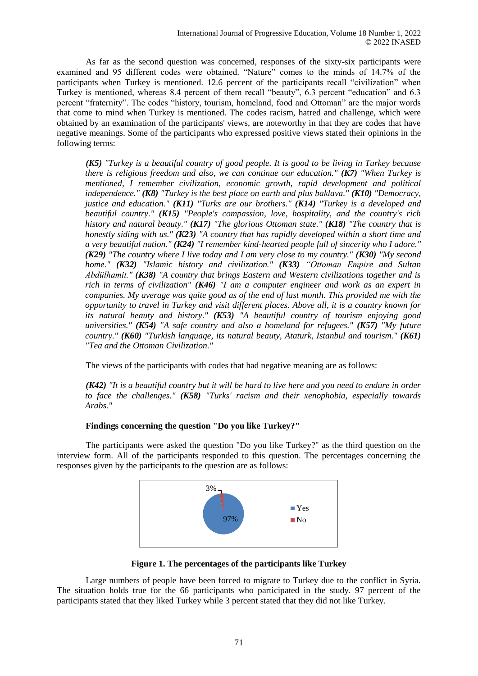As far as the second question was concerned, responses of the sixty-six participants were examined and 95 different codes were obtained. "Nature" comes to the minds of 14.7% of the participants when Turkey is mentioned. 12.6 percent of the participants recall "civilization" when Turkey is mentioned, whereas 8.4 percent of them recall "beauty", 6.3 percent "education" and 6.3 percent "fraternity". The codes "history, tourism, homeland, food and Ottoman" are the major words that come to mind when Turkey is mentioned. The codes racism, hatred and challenge, which were obtained by an examination of the participants' views, are noteworthy in that they are codes that have negative meanings. Some of the participants who expressed positive views stated their opinions in the following terms:

*(K5) "Turkey is a beautiful country of good people. It is good to be living in Turkey because there is religious freedom and also, we can continue our education." (K7) "When Turkey is mentioned, I remember civilization, economic growth, rapid development and political independence." (K8) "Turkey is the best place on earth and plus baklava." (K10) "Democracy, justice and education." (K11) "Turks are our brothers." (K14) "Turkey is a developed and beautiful country." (K15) "People's compassion, love, hospitality, and the country's rich history and natural beauty." (K17) "The glorious Ottoman state." (K18) "The country that is honestly siding with us." (K23) "A country that has rapidly developed within a short time and a very beautiful nation." (K24) "I remember kind-hearted people full of sincerity who I adore." (K29) "The country where I live today and I am very close to my country." (K30) "My second home." (K32) "Islamic history and civilization." (K33) "Ottoman Empire and Sultan Abdülhamit." (K38) "A country that brings Eastern and Western civilizations together and is rich in terms of civilization" (K46) "I am a computer engineer and work as an expert in companies. My average was quite good as of the end of last month. This provided me with the opportunity to travel in Turkey and visit different places. Above all, it is a country known for its natural beauty and history." (K53) "A beautiful country of tourism enjoying good universities." (K54) "A safe country and also a homeland for refugees." (K57) "My future country." (K60) "Turkish language, its natural beauty, Ataturk, Istanbul and tourism." (K61) "Tea and the Ottoman Civilization."*

The views of the participants with codes that had negative meaning are as follows:

*(K42) "It is a beautiful country but it will be hard to live here and you need to endure in order to face the challenges." (K58) "Turks' racism and their xenophobia, especially towards Arabs."*

# **Findings concerning the question "Do you like Turkey?"**

The participants were asked the question "Do you like Turkey?" as the third question on the interview form. All of the participants responded to this question. The percentages concerning the responses given by the participants to the question are as follows:



**Figure 1. The percentages of the participants like Turkey**

Large numbers of people have been forced to migrate to Turkey due to the conflict in Syria. The situation holds true for the 66 participants who participated in the study. 97 percent of the participants stated that they liked Turkey while 3 percent stated that they did not like Turkey.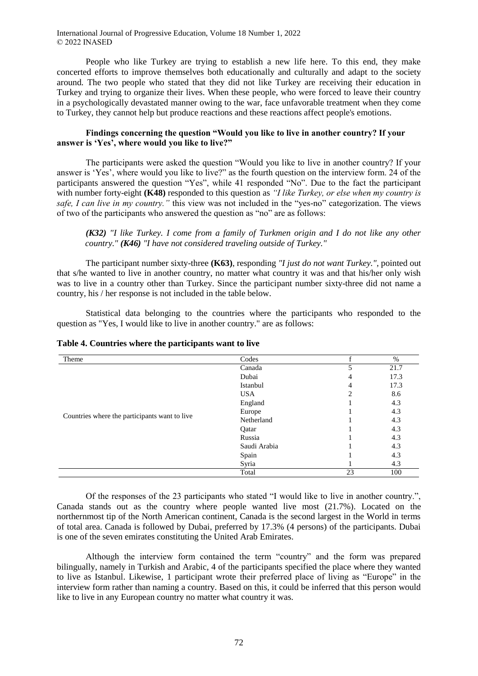People who like Turkey are trying to establish a new life here. To this end, they make concerted efforts to improve themselves both educationally and culturally and adapt to the society around. The two people who stated that they did not like Turkey are receiving their education in Turkey and trying to organize their lives. When these people, who were forced to leave their country in a psychologically devastated manner owing to the war, face unfavorable treatment when they come to Turkey, they cannot help but produce reactions and these reactions affect people's emotions.

### **Findings concerning the question "Would you like to live in another country? If your answer is 'Yes', where would you like to live?"**

The participants were asked the question "Would you like to live in another country? If your answer is 'Yes', where would you like to live?" as the fourth question on the interview form. 24 of the participants answered the question "Yes", while 41 responded "No". Due to the fact the participant with number forty-eight **(K48)** responded to this question as *"I like Turkey, or else when my country is safe, I can live in my country."* this view was not included in the "yes-no" categorization. The views of two of the participants who answered the question as "no" are as follows:

*(K32) "I like Turkey. I come from a family of Turkmen origin and I do not like any other country." (K46) "I have not considered traveling outside of Turkey."*

The participant number sixty-three **(K63)**, responding *"I just do not want Turkey."*, pointed out that s/he wanted to live in another country, no matter what country it was and that his/her only wish was to live in a country other than Turkey. Since the participant number sixty-three did not name a country, his / her response is not included in the table below.

Statistical data belonging to the countries where the participants who responded to the question as "Yes, I would like to live in another country." are as follows:

| Theme                                         | Codes        |    | $\%$ |
|-----------------------------------------------|--------------|----|------|
|                                               | Canada       |    | 21.7 |
|                                               | Dubai        | 4  | 17.3 |
|                                               | Istanbul     | 4  | 17.3 |
|                                               | <b>USA</b>   | 2  | 8.6  |
|                                               | England      |    | 4.3  |
|                                               | Europe       |    | 4.3  |
| Countries where the participants want to live | Netherland   |    | 4.3  |
|                                               | Qatar        |    | 4.3  |
|                                               | Russia       |    | 4.3  |
|                                               | Saudi Arabia |    | 4.3  |
|                                               | Spain        |    | 4.3  |
|                                               | Syria        |    | 4.3  |
|                                               | Total        | 23 | 100  |

#### **Table 4. Countries where the participants want to live**

Of the responses of the 23 participants who stated "I would like to live in another country.", Canada stands out as the country where people wanted live most (21.7%). Located on the northernmost tip of the North American continent, Canada is the second largest in the World in terms of total area. Canada is followed by Dubai, preferred by 17.3% (4 persons) of the participants. Dubai is one of the seven emirates constituting the United Arab Emirates.

Although the interview form contained the term "country" and the form was prepared bilingually, namely in Turkish and Arabic, 4 of the participants specified the place where they wanted to live as Istanbul. Likewise, 1 participant wrote their preferred place of living as "Europe" in the interview form rather than naming a country. Based on this, it could be inferred that this person would like to live in any European country no matter what country it was.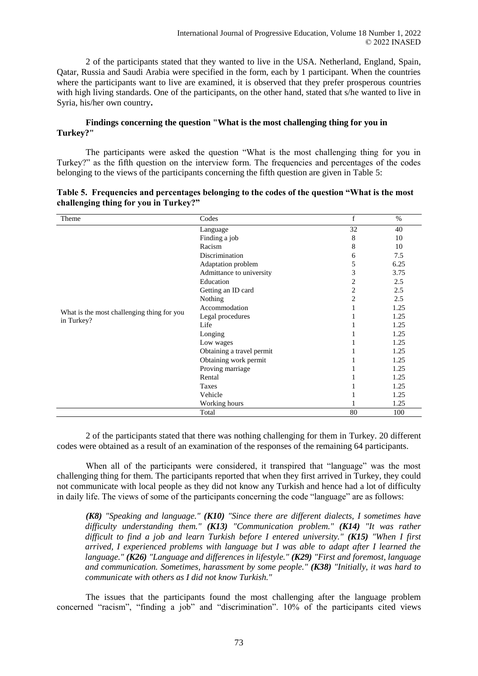2 of the participants stated that they wanted to live in the USA. Netherland, England, Spain, Qatar, Russia and Saudi Arabia were specified in the form, each by 1 participant. When the countries where the participants want to live are examined, it is observed that they prefer prosperous countries with high living standards. One of the participants, on the other hand, stated that s/he wanted to live in Syria, his/her own country**.**

# **Findings concerning the question "What is the most challenging thing for you in Turkey?"**

The participants were asked the question "What is the most challenging thing for you in Turkey?" as the fifth question on the interview form. The frequencies and percentages of the codes belonging to the views of the participants concerning the fifth question are given in Table 5:

| Theme                                      | Codes                     | f              | $\%$ |
|--------------------------------------------|---------------------------|----------------|------|
|                                            | Language                  | 32             | 40   |
|                                            | Finding a job             | 8              | 10   |
|                                            | Racism                    | 8              | 10   |
|                                            | Discrimination            | 6              | 7.5  |
|                                            | Adaptation problem        | 5              | 6.25 |
|                                            | Admittance to university  | 3              | 3.75 |
|                                            | Education                 | 2              | 2.5  |
|                                            | Getting an ID card        | $\overline{c}$ | 2.5  |
|                                            | Nothing                   | $\overline{2}$ | 2.5  |
|                                            | Accommodation             |                | 1.25 |
| What is the most challenging thing for you | Legal procedures          |                | 1.25 |
| in Turkey?                                 | Life                      |                | 1.25 |
|                                            | Longing                   |                | 1.25 |
|                                            | Low wages                 |                | 1.25 |
|                                            | Obtaining a travel permit |                | 1.25 |
|                                            | Obtaining work permit     |                | 1.25 |
|                                            | Proving marriage          |                | 1.25 |
|                                            | Rental                    |                | 1.25 |
|                                            | Taxes                     |                | 1.25 |
|                                            | Vehicle                   |                | 1.25 |
|                                            | Working hours             |                | 1.25 |
|                                            | Total                     | 80             | 100  |

|                                       | Table 5. Frequencies and percentages belonging to the codes of the question "What is the most" |  |
|---------------------------------------|------------------------------------------------------------------------------------------------|--|
| challenging thing for you in Turkey?" |                                                                                                |  |

2 of the participants stated that there was nothing challenging for them in Turkey. 20 different codes were obtained as a result of an examination of the responses of the remaining 64 participants.

When all of the participants were considered, it transpired that "language" was the most challenging thing for them. The participants reported that when they first arrived in Turkey, they could not communicate with local people as they did not know any Turkish and hence had a lot of difficulty in daily life. The views of some of the participants concerning the code "language" are as follows:

*(K8) "Speaking and language." (K10) "Since there are different dialects, I sometimes have difficulty understanding them." (K13) "Communication problem." (K14) "It was rather difficult to find a job and learn Turkish before I entered university." (K15) "When I first arrived, I experienced problems with language but I was able to adapt after I learned the language." (K26) "Language and differences in lifestyle." (K29) "First and foremost, language and communication. Sometimes, harassment by some people." (K38) "Initially, it was hard to communicate with others as I did not know Turkish."*

The issues that the participants found the most challenging after the language problem concerned "racism", "finding a job" and "discrimination". 10% of the participants cited views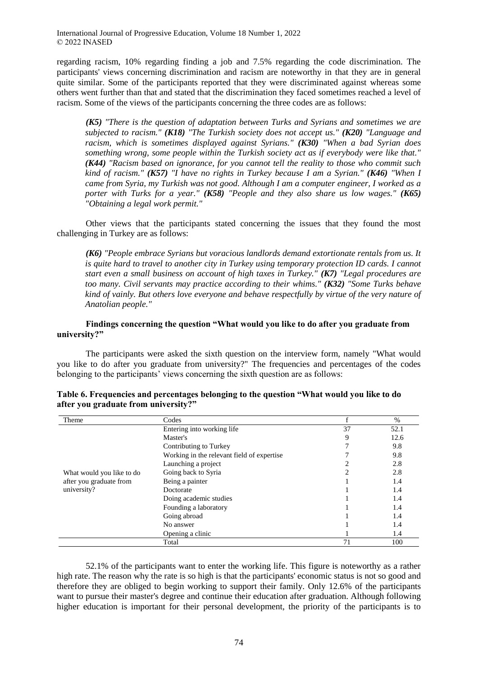regarding racism, 10% regarding finding a job and 7.5% regarding the code discrimination. The participants' views concerning discrimination and racism are noteworthy in that they are in general quite similar. Some of the participants reported that they were discriminated against whereas some others went further than that and stated that the discrimination they faced sometimes reached a level of racism. Some of the views of the participants concerning the three codes are as follows:

*(K5) "There is the question of adaptation between Turks and Syrians and sometimes we are subjected to racism." (K18) "The Turkish society does not accept us." (K20) "Language and racism, which is sometimes displayed against Syrians." (K30) "When a bad Syrian does something wrong, some people within the Turkish society act as if everybody were like that." (K44) "Racism based on ignorance, for you cannot tell the reality to those who commit such kind of racism." (K57) "I have no rights in Turkey because I am a Syrian." (K46) "When I came from Syria, my Turkish was not good. Although I am a computer engineer, I worked as a porter with Turks for a year." (K58) "People and they also share us low wages." (K65) "Obtaining a legal work permit."*

Other views that the participants stated concerning the issues that they found the most challenging in Turkey are as follows:

*(K6) "People embrace Syrians but voracious landlords demand extortionate rentals from us. It is quite hard to travel to another city in Turkey using temporary protection ID cards. I cannot start even a small business on account of high taxes in Turkey." (K7) "Legal procedures are too many. Civil servants may practice according to their whims." (K32) "Some Turks behave kind of vainly. But others love everyone and behave respectfully by virtue of the very nature of Anatolian people."*

### **Findings concerning the question "What would you like to do after you graduate from university?"**

The participants were asked the sixth question on the interview form, namely "What would you like to do after you graduate from university?" The frequencies and percentages of the codes belonging to the participants' views concerning the sixth question are as follows:

| Theme                     | Codes                                      |    | $\%$ |
|---------------------------|--------------------------------------------|----|------|
|                           | Entering into working life                 | 37 | 52.1 |
|                           | Master's                                   | 9  | 12.6 |
|                           | Contributing to Turkey                     |    | 9.8  |
|                           | Working in the relevant field of expertise |    | 9.8  |
|                           | Launching a project                        |    | 2.8  |
| What would you like to do | Going back to Syria                        |    | 2.8  |
| after you graduate from   | Being a painter                            |    | 1.4  |
| university?               | Doctorate                                  |    | 1.4  |
|                           | Doing academic studies                     |    | 1.4  |
|                           | Founding a laboratory                      |    | 1.4  |
|                           | Going abroad                               |    | 1.4  |
|                           | No answer                                  |    | 1.4  |
|                           | Opening a clinic                           |    | 1.4  |
|                           | Total                                      | 71 | 100  |

| Table 6. Frequencies and percentages belonging to the question "What would you like to do |  |
|-------------------------------------------------------------------------------------------|--|
| after you graduate from university?"                                                      |  |

52.1% of the participants want to enter the working life. This figure is noteworthy as a rather high rate. The reason why the rate is so high is that the participants' economic status is not so good and therefore they are obliged to begin working to support their family. Only 12.6% of the participants want to pursue their master's degree and continue their education after graduation. Although following higher education is important for their personal development, the priority of the participants is to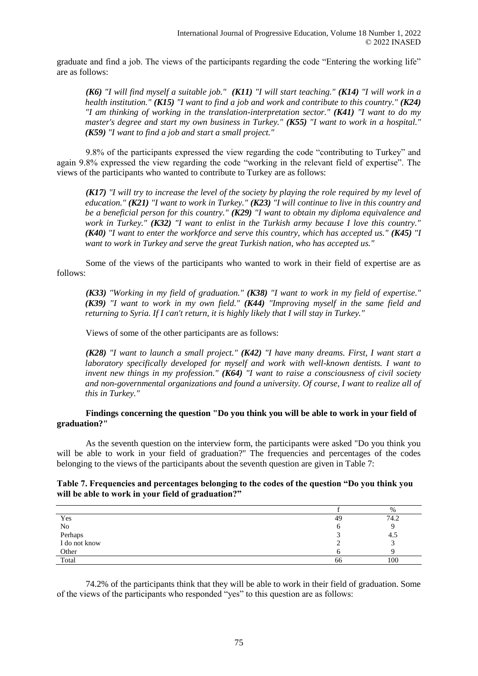graduate and find a job. The views of the participants regarding the code "Entering the working life" are as follows:

*(K6) "I will find myself a suitable job." (K11) "I will start teaching." (K14) "I will work in a health institution." (K15) "I want to find a job and work and contribute to this country." (K24) "I am thinking of working in the translation-interpretation sector." (K41) "I want to do my master's degree and start my own business in Turkey." (K55) "I want to work in a hospital." (K59) "I want to find a job and start a small project."*

9.8% of the participants expressed the view regarding the code "contributing to Turkey" and again 9.8% expressed the view regarding the code "working in the relevant field of expertise". The views of the participants who wanted to contribute to Turkey are as follows:

*(K17) "I will try to increase the level of the society by playing the role required by my level of education." (K21) "I want to work in Turkey." (K23) "I will continue to live in this country and be a beneficial person for this country." (K29) "I want to obtain my diploma equivalence and work in Turkey." (K32) "I want to enlist in the Turkish army because I love this country." (K40) "I want to enter the workforce and serve this country, which has accepted us." (K45) "I want to work in Turkey and serve the great Turkish nation, who has accepted us."*

Some of the views of the participants who wanted to work in their field of expertise are as follows:

*(K33) "Working in my field of graduation." (K38) "I want to work in my field of expertise." (K39) "I want to work in my own field." (K44) "Improving myself in the same field and returning to Syria. If I can't return, it is highly likely that I will stay in Turkey."*

Views of some of the other participants are as follows:

*(K28) "I want to launch a small project." (K42) "I have many dreams. First, I want start a laboratory specifically developed for myself and work with well-known dentists. I want to invent new things in my profession." (K64) "I want to raise a consciousness of civil society and non-governmental organizations and found a university. Of course, I want to realize all of this in Turkey."*

# **Findings concerning the question "Do you think you will be able to work in your field of graduation?"**

As the seventh question on the interview form, the participants were asked "Do you think you will be able to work in your field of graduation?" The frequencies and percentages of the codes belonging to the views of the participants about the seventh question are given in Table 7:

### **Table 7. Frequencies and percentages belonging to the codes of the question "Do you think you will be able to work in your field of graduation?"**

|               |    | %    |
|---------------|----|------|
| Yes           | 49 | 74.2 |
|               |    |      |
| No<br>Perhaps |    | -4.5 |
| I do not know |    |      |
| Other         |    |      |
| Total         | 66 | 100  |

74.2% of the participants think that they will be able to work in their field of graduation. Some of the views of the participants who responded "yes" to this question are as follows: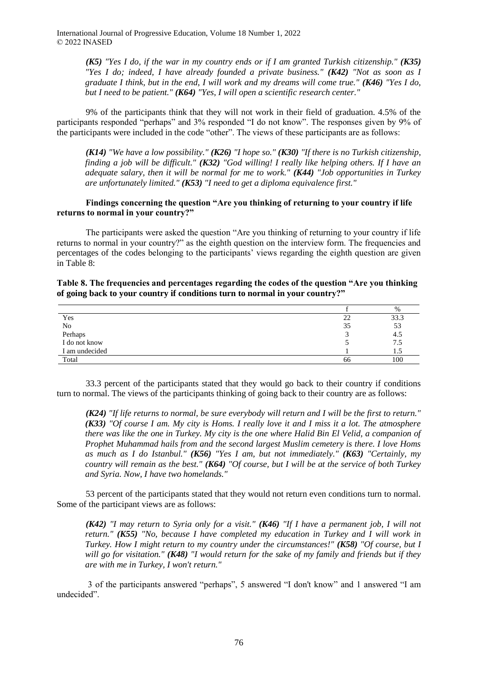> *(K5) "Yes I do, if the war in my country ends or if I am granted Turkish citizenship." (K35) "Yes I do; indeed, I have already founded a private business." (K42) "Not as soon as I graduate I think, but in the end, I will work and my dreams will come true." (K46) "Yes I do, but I need to be patient." (K64) "Yes, I will open a scientific research center."*

9% of the participants think that they will not work in their field of graduation. 4.5% of the participants responded "perhaps" and 3% responded "I do not know". The responses given by 9% of the participants were included in the code "other". The views of these participants are as follows:

*(K14) "We have a low possibility." (K26) "I hope so." (K30) "If there is no Turkish citizenship, finding a job will be difficult." (K32) "God willing! I really like helping others. If I have an adequate salary, then it will be normal for me to work." (K44) "Job opportunities in Turkey are unfortunately limited." (K53) "I need to get a diploma equivalence first."*

# **Findings concerning the question "Are you thinking of returning to your country if life returns to normal in your country?"**

The participants were asked the question "Are you thinking of returning to your country if life returns to normal in your country?" as the eighth question on the interview form. The frequencies and percentages of the codes belonging to the participants' views regarding the eighth question are given in Table 8:

**Table 8. The frequencies and percentages regarding the codes of the question "Are you thinking of going back to your country if conditions turn to normal in your country?"**

| 33.3<br>Yes<br>∠∠<br>No<br>Perhaps<br>53<br>35<br>4.5<br>I do not know<br>7.5<br>I am undecided<br>1.3 |       | $\%$ |
|--------------------------------------------------------------------------------------------------------|-------|------|
|                                                                                                        |       |      |
|                                                                                                        |       |      |
|                                                                                                        |       |      |
|                                                                                                        |       |      |
|                                                                                                        |       |      |
| 66                                                                                                     | Total | 100  |

33.3 percent of the participants stated that they would go back to their country if conditions turn to normal. The views of the participants thinking of going back to their country are as follows:

*(K24) "If life returns to normal, be sure everybody will return and I will be the first to return." (K33) "Of course I am. My city is Homs. I really love it and I miss it a lot. The atmosphere there was like the one in Turkey. My city is the one where Halid Bin El Velid, a companion of Prophet Muhammad hails from and the second largest Muslim cemetery is there. I love Homs as much as I do Istanbul." (K56) "Yes I am, but not immediately." (K63) "Certainly, my country will remain as the best." (K64) "Of course, but I will be at the service of both Turkey and Syria. Now, I have two homelands."*

53 percent of the participants stated that they would not return even conditions turn to normal. Some of the participant views are as follows:

*(K42) "I may return to Syria only for a visit." (K46) "If I have a permanent job, I will not return." (K55) "No, because I have completed my education in Turkey and I will work in Turkey. How I might return to my country under the circumstances!" (K58) "Of course, but I will go for visitation." (K48) "I would return for the sake of my family and friends but if they are with me in Turkey, I won't return."*

3 of the participants answered "perhaps", 5 answered "I don't know" and 1 answered "I am undecided".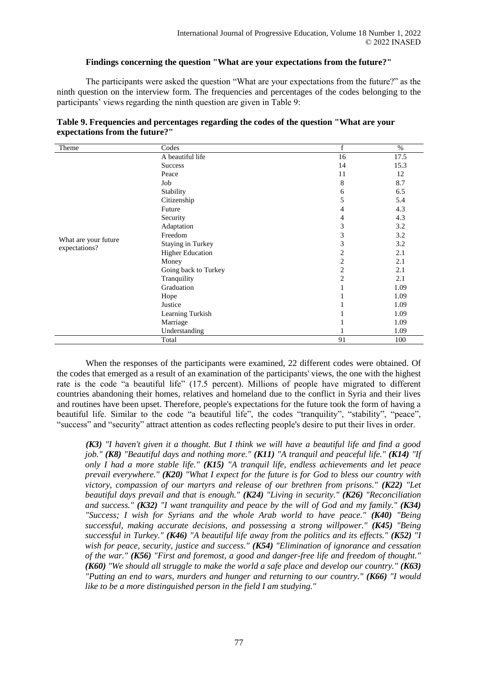### **Findings concerning the question "What are your expectations from the future?"**

The participants were asked the question "What are your expectations from the future?" as the ninth question on the interview form. The frequencies and percentages of the codes belonging to the participants' views regarding the ninth question are given in Table 9:

| Theme                | Codes                    | f              | $\%$ |
|----------------------|--------------------------|----------------|------|
|                      | A beautiful life         | 16             | 17.5 |
|                      | <b>Success</b>           | 14             | 15.3 |
|                      | Peace                    | 11             | 12   |
|                      | Job                      | 8              | 8.7  |
|                      | Stability                | 6              | 6.5  |
|                      | Citizenship              | 5              | 5.4  |
|                      | Future                   | 4              | 4.3  |
|                      | Security                 | 4              | 4.3  |
|                      | Adaptation               | 3              | 3.2  |
|                      | Freedom                  | 3              | 3.2  |
| What are your future | <b>Staying in Turkey</b> | 3              | 3.2  |
| expectations?        | <b>Higher Education</b>  | 2              | 2.1  |
|                      | Money                    | $\overline{c}$ | 2.1  |
|                      | Going back to Turkey     | $\overline{c}$ | 2.1  |
|                      | Tranquility              | $\overline{c}$ | 2.1  |
|                      | Graduation               |                | 1.09 |
|                      | Hope                     |                | 1.09 |
|                      | Justice                  |                | 1.09 |
|                      | Learning Turkish         |                | 1.09 |
|                      | Marriage                 |                | 1.09 |
|                      | Understanding            |                | 1.09 |
|                      | Total                    | 91             | 100  |

| Table 9. Frequencies and percentages regarding the codes of the question "What are your |  |
|-----------------------------------------------------------------------------------------|--|
| expectations from the future?"                                                          |  |

When the responses of the participants were examined, 22 different codes were obtained. Of the codes that emerged as a result of an examination of the participants' views, the one with the highest rate is the code "a beautiful life" (17.5 percent). Millions of people have migrated to different countries abandoning their homes, relatives and homeland due to the conflict in Syria and their lives and routines have been upset. Therefore, people's expectations for the future took the form of having a beautiful life. Similar to the code "a beautiful life", the codes "tranquility", "stability", "peace", "success" and "security" attract attention as codes reflecting people's desire to put their lives in order.

*(K3) "I haven't given it a thought. But I think we will have a beautiful life and find a good job." (K8) "Beautiful days and nothing more." (K11) "A tranquil and peaceful life." (K14) "If only I had a more stable life." (K15) "A tranquil life, endless achievements and let peace prevail everywhere." (K20) "What I expect for the future is for God to bless our country with victory, compassion of our martyrs and release of our brethren from prisons." (K22) "Let beautiful days prevail and that is enough." (K24) "Living in security." (K26) "Reconciliation and success." (K32) "I want tranquility and peace by the will of God and my family." (K34) "Success; I wish for Syrians and the whole Arab world to have peace." (K40) "Being successful, making accurate decisions, and possessing a strong willpower." (K45) "Being successful in Turkey." (K46) "A beautiful life away from the politics and its effects." (K52) "I wish for peace, security, justice and success." (K54) "Elimination of ignorance and cessation of the war." (K56) "First and foremost, a good and danger-free life and freedom of thought." (K60) "We should all struggle to make the world a safe place and develop our country." (K63) "Putting an end to wars, murders and hunger and returning to our country." (K66) "I would like to be a more distinguished person in the field I am studying."*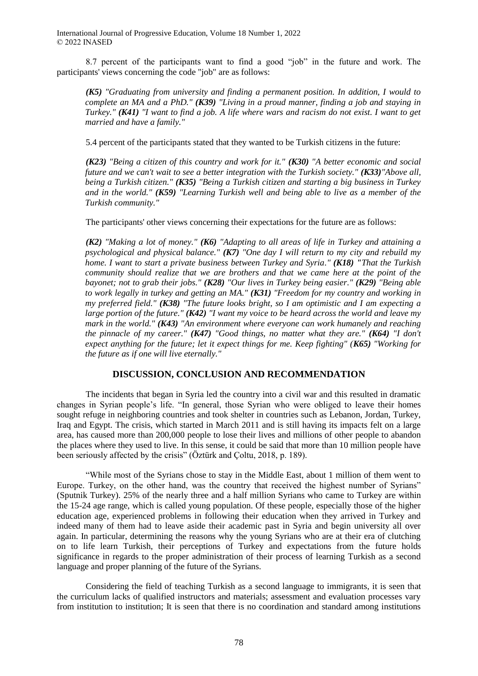8.7 percent of the participants want to find a good "job" in the future and work. The participants' views concerning the code "job" are as follows:

*(K5) "Graduating from university and finding a permanent position. In addition, I would to complete an MA and a PhD." (K39) "Living in a proud manner, finding a job and staying in Turkey." (K41) "I want to find a job. A life where wars and racism do not exist. I want to get married and have a family."*

5.4 percent of the participants stated that they wanted to be Turkish citizens in the future:

*(K23) "Being a citizen of this country and work for it." (K30) "A better economic and social future and we can't wait to see a better integration with the Turkish society." (K33)"Above all, being a Turkish citizen." (K35) "Being a Turkish citizen and starting a big business in Turkey and in the world." (K59) "Learning Turkish well and being able to live as a member of the Turkish community."*

The participants' other views concerning their expectations for the future are as follows:

*(K2) "Making a lot of money." (K6) "Adapting to all areas of life in Turkey and attaining a psychological and physical balance." (K7) "One day I will return to my city and rebuild my home. I want to start a private business between Turkey and Syria." (K18) "That the Turkish community should realize that we are brothers and that we came here at the point of the bayonet; not to grab their jobs." (K28) "Our lives in Turkey being easier." (K29) "Being able to work legally in turkey and getting an MA." (K31) "Freedom for my country and working in my preferred field." (K38) "The future looks bright, so I am optimistic and I am expecting a large portion of the future." (K42) "I want my voice to be heard across the world and leave my mark in the world." (K43) "An environment where everyone can work humanely and reaching the pinnacle of my career." (K47) "Good things, no matter what they are." (K64) "I don't expect anything for the future; let it expect things for me. Keep fighting" (K65) "Working for the future as if one will live eternally."*

# **DISCUSSION, CONCLUSION AND RECOMMENDATION**

The incidents that began in Syria led the country into a civil war and this resulted in dramatic changes in Syrian people's life. "In general, those Syrian who were obliged to leave their homes sought refuge in neighboring countries and took shelter in countries such as Lebanon, Jordan, Turkey, Iraq and Egypt. The crisis, which started in March 2011 and is still having its impacts felt on a large area, has caused more than 200,000 people to lose their lives and millions of other people to abandon the places where they used to live. In this sense, it could be said that more than 10 million people have been seriously affected by the crisis" (Öztürk and Çoltu, 2018, p. 189).

"While most of the Syrians chose to stay in the Middle East, about 1 million of them went to Europe. Turkey, on the other hand, was the country that received the highest number of Syrians" (Sputnik Turkey). 25% of the nearly three and a half million Syrians who came to Turkey are within the 15-24 age range, which is called young population. Of these people, especially those of the higher education age, experienced problems in following their education when they arrived in Turkey and indeed many of them had to leave aside their academic past in Syria and begin university all over again. In particular, determining the reasons why the young Syrians who are at their era of clutching on to life learn Turkish, their perceptions of Turkey and expectations from the future holds significance in regards to the proper administration of their process of learning Turkish as a second language and proper planning of the future of the Syrians.

Considering the field of teaching Turkish as a second language to immigrants, it is seen that the curriculum lacks of qualified instructors and materials; assessment and evaluation processes vary from institution to institution; It is seen that there is no coordination and standard among institutions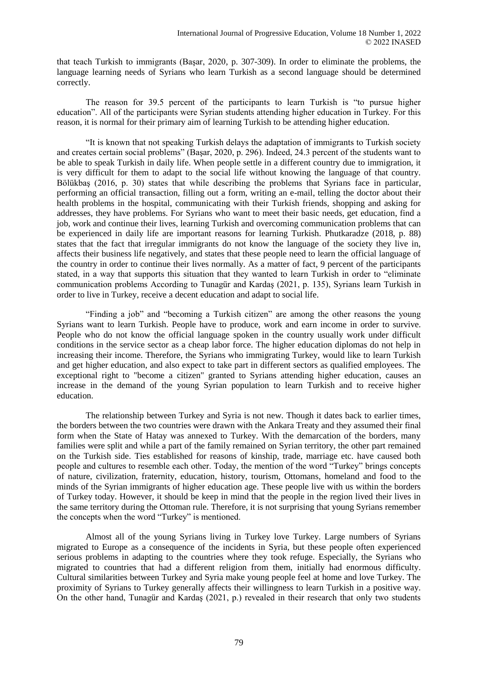that teach Turkish to immigrants (Başar, 2020, p. 307-309). In order to eliminate the problems, the language learning needs of Syrians who learn Turkish as a second language should be determined correctly.

The reason for 39.5 percent of the participants to learn Turkish is "to pursue higher education". All of the participants were Syrian students attending higher education in Turkey. For this reason, it is normal for their primary aim of learning Turkish to be attending higher education.

"It is known that not speaking Turkish delays the adaptation of immigrants to Turkish society and creates certain social problems" (Başar, 2020, p. 296). Indeed, 24.3 percent of the students want to be able to speak Turkish in daily life. When people settle in a different country due to immigration, it is very difficult for them to adapt to the social life without knowing the language of that country. Bölükbaş (2016, p. 30) states that while describing the problems that Syrians face in particular, performing an official transaction, filling out a form, writing an e-mail, telling the doctor about their health problems in the hospital, communicating with their Turkish friends, shopping and asking for addresses, they have problems. For Syrians who want to meet their basic needs, get education, find a job, work and continue their lives, learning Turkish and overcoming communication problems that can be experienced in daily life are important reasons for learning Turkish. Phutkaradze (2018, p. 88) states that the fact that irregular immigrants do not know the language of the society they live in, affects their business life negatively, and states that these people need to learn the official language of the country in order to continue their lives normally. As a matter of fact, 9 percent of the participants stated, in a way that supports this situation that they wanted to learn Turkish in order to "eliminate communication problems According to Tunagür and Kardaş (2021, p. 135), Syrians learn Turkish in order to live in Turkey, receive a decent education and adapt to social life.

"Finding a job" and "becoming a Turkish citizen" are among the other reasons the young Syrians want to learn Turkish. People have to produce, work and earn income in order to survive. People who do not know the official language spoken in the country usually work under difficult conditions in the service sector as a cheap labor force. The higher education diplomas do not help in increasing their income. Therefore, the Syrians who immigrating Turkey, would like to learn Turkish and get higher education, and also expect to take part in different sectors as qualified employees. The exceptional right to "become a citizen" granted to Syrians attending higher education, causes an increase in the demand of the young Syrian population to learn Turkish and to receive higher education.

The relationship between Turkey and Syria is not new. Though it dates back to earlier times, the borders between the two countries were drawn with the Ankara Treaty and they assumed their final form when the State of Hatay was annexed to Turkey. With the demarcation of the borders, many families were split and while a part of the family remained on Syrian territory, the other part remained on the Turkish side. Ties established for reasons of kinship, trade, marriage etc. have caused both people and cultures to resemble each other. Today, the mention of the word "Turkey" brings concepts of nature, civilization, fraternity, education, history, tourism, Ottomans, homeland and food to the minds of the Syrian immigrants of higher education age. These people live with us within the borders of Turkey today. However, it should be keep in mind that the people in the region lived their lives in the same territory during the Ottoman rule. Therefore, it is not surprising that young Syrians remember the concepts when the word "Turkey" is mentioned.

Almost all of the young Syrians living in Turkey love Turkey. Large numbers of Syrians migrated to Europe as a consequence of the incidents in Syria, but these people often experienced serious problems in adapting to the countries where they took refuge. Especially, the Syrians who migrated to countries that had a different religion from them, initially had enormous difficulty. Cultural similarities between Turkey and Syria make young people feel at home and love Turkey. The proximity of Syrians to Turkey generally affects their willingness to learn Turkish in a positive way. On the other hand, Tunagür and Kardaş (2021, p.) revealed in their research that only two students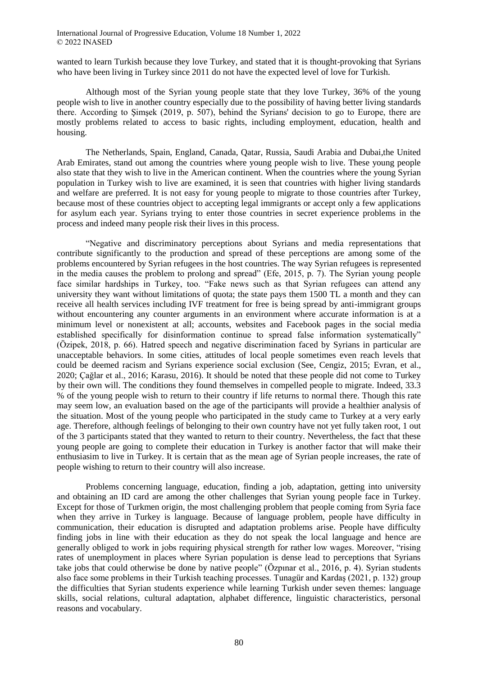wanted to learn Turkish because they love Turkey, and stated that it is thought-provoking that Syrians who have been living in Turkey since 2011 do not have the expected level of love for Turkish.

Although most of the Syrian young people state that they love Turkey, 36% of the young people wish to live in another country especially due to the possibility of having better living standards there. According to Simsek (2019, p. 507), behind the Syrians' decision to go to Europe, there are mostly problems related to access to basic rights, including employment, education, health and housing.

The Netherlands, Spain, England, Canada, Qatar, Russia, Saudi Arabia and Dubai,the United Arab Emirates, stand out among the countries where young people wish to live. These young people also state that they wish to live in the American continent. When the countries where the young Syrian population in Turkey wish to live are examined, it is seen that countries with higher living standards and welfare are preferred. It is not easy for young people to migrate to those countries after Turkey, because most of these countries object to accepting legal immigrants or accept only a few applications for asylum each year. Syrians trying to enter those countries in secret experience problems in the process and indeed many people risk their lives in this process.

"Negative and discriminatory perceptions about Syrians and media representations that contribute significantly to the production and spread of these perceptions are among some of the problems encountered by Syrian refugees in the host countries. The way Syrian refugees is represented in the media causes the problem to prolong and spread" (Efe, 2015, p. 7). The Syrian young people face similar hardships in Turkey, too. "Fake news such as that Syrian refugees can attend any university they want without limitations of quota; the state pays them 1500 TL a month and they can receive all health services including IVF treatment for free is being spread by anti-immigrant groups without encountering any counter arguments in an environment where accurate information is at a minimum level or nonexistent at all; accounts, websites and Facebook pages in the social media established specifically for disinformation continue to spread false information systematically" (Özipek, 2018, p. 66). Hatred speech and negative discrimination faced by Syrians in particular are unacceptable behaviors. In some cities, attitudes of local people sometimes even reach levels that could be deemed racism and Syrians experience social exclusion (See, Cengiz, 2015; Evran, et al., 2020; Çağlar et al., 2016; Karasu, 2016). It should be noted that these people did not come to Turkey by their own will. The conditions they found themselves in compelled people to migrate. Indeed, 33.3 % of the young people wish to return to their country if life returns to normal there. Though this rate may seem low, an evaluation based on the age of the participants will provide a healthier analysis of the situation. Most of the young people who participated in the study came to Turkey at a very early age. Therefore, although feelings of belonging to their own country have not yet fully taken root, 1 out of the 3 participants stated that they wanted to return to their country. Nevertheless, the fact that these young people are going to complete their education in Turkey is another factor that will make their enthusiasim to live in Turkey. It is certain that as the mean age of Syrian people increases, the rate of people wishing to return to their country will also increase.

Problems concerning language, education, finding a job, adaptation, getting into university and obtaining an ID card are among the other challenges that Syrian young people face in Turkey. Except for those of Turkmen origin, the most challenging problem that people coming from Syria face when they arrive in Turkey is language. Because of language problem, people have difficulty in communication, their education is disrupted and adaptation problems arise. People have difficulty finding jobs in line with their education as they do not speak the local language and hence are generally obliged to work in jobs requiring physical strength for rather low wages. Moreover, "rising rates of unemployment in places where Syrian population is dense lead to perceptions that Syrians take jobs that could otherwise be done by native people" (Özpınar et al., 2016, p. 4). Syrian students also face some problems in their Turkish teaching processes. Tunagür and Kardaş (2021, p. 132) group the difficulties that Syrian students experience while learning Turkish under seven themes: language skills, social relations, cultural adaptation, alphabet difference, linguistic characteristics, personal reasons and vocabulary.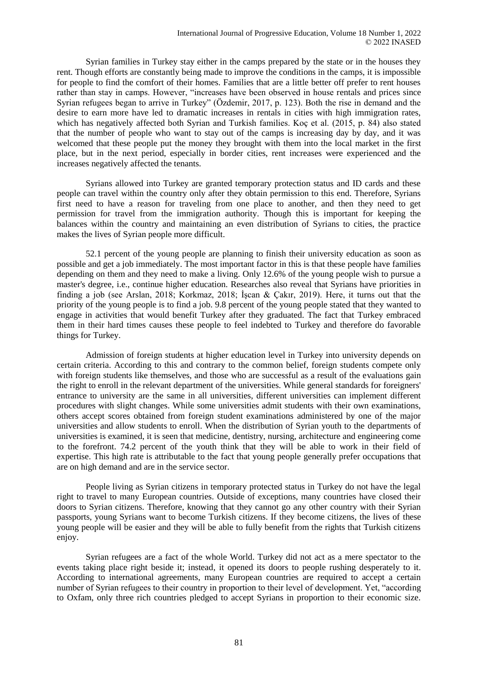Syrian families in Turkey stay either in the camps prepared by the state or in the houses they rent. Though efforts are constantly being made to improve the conditions in the camps, it is impossible for people to find the comfort of their homes. Families that are a little better off prefer to rent houses rather than stay in camps. However, "increases have been observed in house rentals and prices since Syrian refugees began to arrive in Turkey" (Özdemir, 2017, p. 123). Both the rise in demand and the desire to earn more have led to dramatic increases in rentals in cities with high immigration rates, which has negatively affected both Syrian and Turkish families. Koç et al. (2015, p. 84) also stated that the number of people who want to stay out of the camps is increasing day by day, and it was welcomed that these people put the money they brought with them into the local market in the first place, but in the next period, especially in border cities, rent increases were experienced and the increases negatively affected the tenants.

Syrians allowed into Turkey are granted temporary protection status and ID cards and these people can travel within the country only after they obtain permission to this end. Therefore, Syrians first need to have a reason for traveling from one place to another, and then they need to get permission for travel from the immigration authority. Though this is important for keeping the balances within the country and maintaining an even distribution of Syrians to cities, the practice makes the lives of Syrian people more difficult.

52.1 percent of the young people are planning to finish their university education as soon as possible and get a job immediately. The most important factor in this is that these people have families depending on them and they need to make a living. Only 12.6% of the young people wish to pursue a master's degree, i.e., continue higher education. Researches also reveal that Syrians have priorities in finding a job (see Arslan, 2018; Korkmaz, 2018; İşcan & Çakır, 2019). Here, it turns out that the priority of the young people is to find a job. 9.8 percent of the young people stated that they wanted to engage in activities that would benefit Turkey after they graduated. The fact that Turkey embraced them in their hard times causes these people to feel indebted to Turkey and therefore do favorable things for Turkey.

Admission of foreign students at higher education level in Turkey into university depends on certain criteria. According to this and contrary to the common belief, foreign students compete only with foreign students like themselves, and those who are successful as a result of the evaluations gain the right to enroll in the relevant department of the universities. While general standards for foreigners' entrance to university are the same in all universities, different universities can implement different procedures with slight changes. While some universities admit students with their own examinations, others accept scores obtained from foreign student examinations administered by one of the major universities and allow students to enroll. When the distribution of Syrian youth to the departments of universities is examined, it is seen that medicine, dentistry, nursing, architecture and engineering come to the forefront. 74.2 percent of the youth think that they will be able to work in their field of expertise. This high rate is attributable to the fact that young people generally prefer occupations that are on high demand and are in the service sector.

People living as Syrian citizens in temporary protected status in Turkey do not have the legal right to travel to many European countries. Outside of exceptions, many countries have closed their doors to Syrian citizens. Therefore, knowing that they cannot go any other country with their Syrian passports, young Syrians want to become Turkish citizens. If they become citizens, the lives of these young people will be easier and they will be able to fully benefit from the rights that Turkish citizens enjoy.

Syrian refugees are a fact of the whole World. Turkey did not act as a mere spectator to the events taking place right beside it; instead, it opened its doors to people rushing desperately to it. According to international agreements, many European countries are required to accept a certain number of Syrian refugees to their country in proportion to their level of development. Yet, "according to Oxfam, only three rich countries pledged to accept Syrians in proportion to their economic size.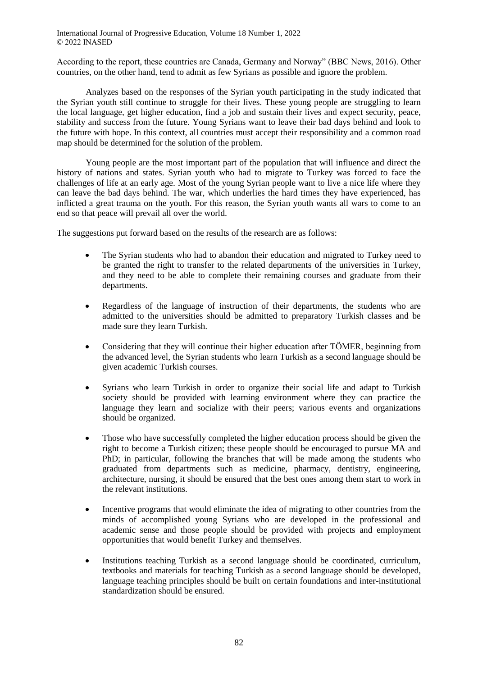According to the report, these countries are Canada, Germany and Norway" (BBC News, 2016). Other countries, on the other hand, tend to admit as few Syrians as possible and ignore the problem.

Analyzes based on the responses of the Syrian youth participating in the study indicated that the Syrian youth still continue to struggle for their lives. These young people are struggling to learn the local language, get higher education, find a job and sustain their lives and expect security, peace, stability and success from the future. Young Syrians want to leave their bad days behind and look to the future with hope. In this context, all countries must accept their responsibility and a common road map should be determined for the solution of the problem.

Young people are the most important part of the population that will influence and direct the history of nations and states. Syrian youth who had to migrate to Turkey was forced to face the challenges of life at an early age. Most of the young Syrian people want to live a nice life where they can leave the bad days behind. The war, which underlies the hard times they have experienced, has inflicted a great trauma on the youth. For this reason, the Syrian youth wants all wars to come to an end so that peace will prevail all over the world.

The suggestions put forward based on the results of the research are as follows:

- The Syrian students who had to abandon their education and migrated to Turkey need to be granted the right to transfer to the related departments of the universities in Turkey, and they need to be able to complete their remaining courses and graduate from their departments.
- Regardless of the language of instruction of their departments, the students who are admitted to the universities should be admitted to preparatory Turkish classes and be made sure they learn Turkish.
- Considering that they will continue their higher education after TÖMER, beginning from the advanced level, the Syrian students who learn Turkish as a second language should be given academic Turkish courses.
- Syrians who learn Turkish in order to organize their social life and adapt to Turkish society should be provided with learning environment where they can practice the language they learn and socialize with their peers; various events and organizations should be organized.
- Those who have successfully completed the higher education process should be given the right to become a Turkish citizen; these people should be encouraged to pursue MA and PhD; in particular, following the branches that will be made among the students who graduated from departments such as medicine, pharmacy, dentistry, engineering, architecture, nursing, it should be ensured that the best ones among them start to work in the relevant institutions.
- Incentive programs that would eliminate the idea of migrating to other countries from the minds of accomplished young Syrians who are developed in the professional and academic sense and those people should be provided with projects and employment opportunities that would benefit Turkey and themselves.
- Institutions teaching Turkish as a second language should be coordinated, curriculum, textbooks and materials for teaching Turkish as a second language should be developed, language teaching principles should be built on certain foundations and inter-institutional standardization should be ensured.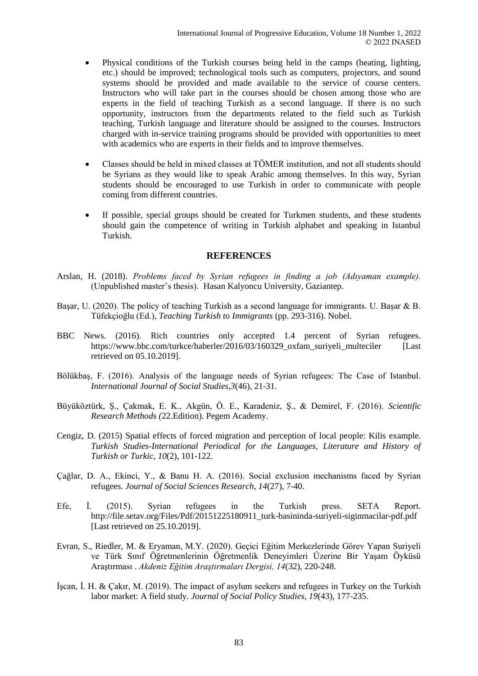- Physical conditions of the Turkish courses being held in the camps (heating, lighting, etc.) should be improved; technological tools such as computers, projectors, and sound systems should be provided and made available to the service of course centers. Instructors who will take part in the courses should be chosen among those who are experts in the field of teaching Turkish as a second language. If there is no such opportunity, instructors from the departments related to the field such as Turkish teaching, Turkish language and literature should be assigned to the courses. Instructors charged with in-service training programs should be provided with opportunities to meet with academics who are experts in their fields and to improve themselves.
- Classes should be held in mixed classes at TÖMER institution, and not all students should be Syrians as they would like to speak Arabic among themselves. In this way, Syrian students should be encouraged to use Turkish in order to communicate with people coming from different countries.
- If possible, special groups should be created for Turkmen students, and these students should gain the competence of writing in Turkish alphabet and speaking in Istanbul Turkish.

### **REFERENCES**

- Arslan, H. (2018). *Problems faced by Syrian refugees in finding a job (Adıyaman example).* (Unpublished master's thesis). Hasan Kalyoncu University, Gaziantep.
- Başar, U. (2020). The policy of teaching Turkish as a second language for immigrants. U. Başar & B. Tüfekçioğlu (Ed.), *Teaching Turkish to Immigrants* (pp. 293-316). Nobel.
- BBC News. (2016). Rich countries only accepted 1.4 percent of Syrian refugees. https://www.bbc.com/turkce/haberler/2016/03/160329\_oxfam\_suriyeli\_multeciler [Last retrieved on 05.10.2019].
- Bölükbaş, F. (2016). Analysis of the language needs of Syrian refugees: The Case of Istanbul. *International Journal of Social Studies,3*(46), 21-31.
- Büyüköztürk, Ş., Çakmak, E. K., Akgün, Ö. E., Karadeniz, Ş., & Demirel, F. (2016). *Scientific Research Methods (*22.Edition). Pegem Academy.
- Cengiz, D. (2015) Spatial effects of forced migration and perception of local people: Kilis example. *Turkish Studies-International Periodical for the Languages, Literature and History of Turkish or Turkic*, *10*(2), 101-122.
- Çağlar, D. A., Ekinci, Y., & Banu H. A. (2016). Social exclusion mechanisms faced by Syrian refugees. *Journal of Social Sciences Research, 14*(27), 7-40.
- Efe, İ. (2015). Syrian refugees in the Turkish press. SETA Report*.* http://file.setav.org/Files/Pdf/20151225180911\_turk-basininda-suriyeli-siginmacilar-pdf.pdf [Last retrieved on 25.10.2019].
- Evran, S., Riedler, M. & Eryaman, M.Y. (2020). Geçici Eğitim Merkezlerinde Görev Yapan Suriyeli ve Türk Sınıf Öğretmenlerinin Öğretmenlik Deneyimleri Üzerine Bir Yaşam Öyküsü Araştırması . *Akdeniz Eğitim Araştırmaları Dergisi, 14*(32), 220-248.
- İşcan, İ. H. & Çakır, M. (2019). The impact of asylum seekers and refugees in Turkey on the Turkish labor market: A field study. *Journal of Social Policy Studies, 19*(43), 177-235.